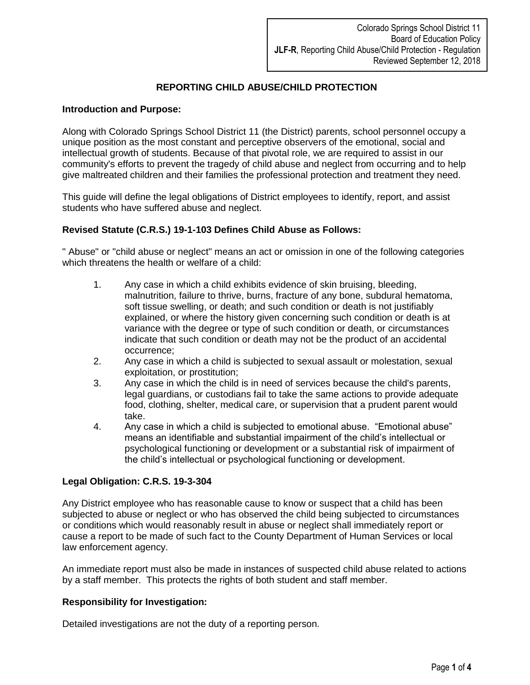# **REPORTING CHILD ABUSE/CHILD PROTECTION**

# **Introduction and Purpose:**

Along with Colorado Springs School District 11 (the District) parents, school personnel occupy a unique position as the most constant and perceptive observers of the emotional, social and intellectual growth of students. Because of that pivotal role, we are required to assist in our community's efforts to prevent the tragedy of child abuse and neglect from occurring and to help give maltreated children and their families the professional protection and treatment they need.

This guide will define the legal obligations of District employees to identify, report, and assist students who have suffered abuse and neglect.

## **Revised Statute (C.R.S.) 19-1-103 Defines Child Abuse as Follows:**

" Abuse" or "child abuse or neglect" means an act or omission in one of the following categories which threatens the health or welfare of a child:

- 1. Any case in which a child exhibits evidence of skin bruising, bleeding, malnutrition, failure to thrive, burns, fracture of any bone, subdural hematoma, soft tissue swelling, or death; and such condition or death is not justifiably explained, or where the history given concerning such condition or death is at variance with the degree or type of such condition or death, or circumstances indicate that such condition or death may not be the product of an accidental occurrence;
- 2. Any case in which a child is subjected to sexual assault or molestation, sexual exploitation, or prostitution;
- 3. Any case in which the child is in need of services because the child's parents, legal guardians, or custodians fail to take the same actions to provide adequate food, clothing, shelter, medical care, or supervision that a prudent parent would take.
- 4. Any case in which a child is subjected to emotional abuse. "Emotional abuse" means an identifiable and substantial impairment of the child's intellectual or psychological functioning or development or a substantial risk of impairment of the child's intellectual or psychological functioning or development.

### **Legal Obligation: C.R.S. 19-3-304**

Any District employee who has reasonable cause to know or suspect that a child has been subjected to abuse or neglect or who has observed the child being subjected to circumstances or conditions which would reasonably result in abuse or neglect shall immediately report or cause a report to be made of such fact to the County Department of Human Services or local law enforcement agency.

An immediate report must also be made in instances of suspected child abuse related to actions by a staff member. This protects the rights of both student and staff member.

### **Responsibility for Investigation:**

Detailed investigations are not the duty of a reporting person.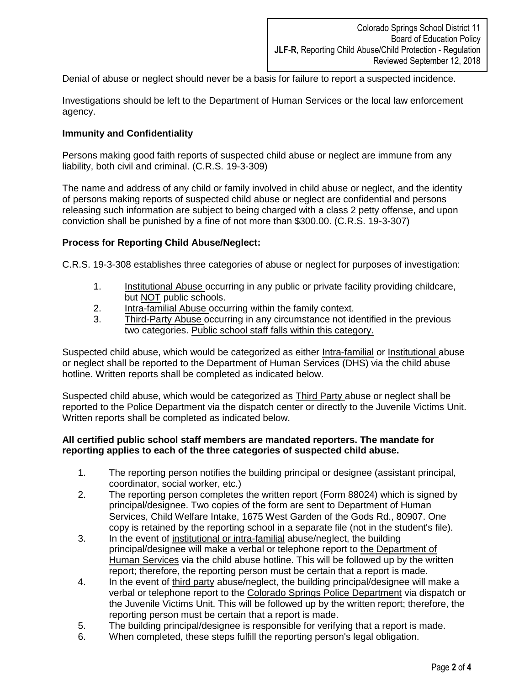Denial of abuse or neglect should never be a basis for failure to report a suspected incidence.

Investigations should be left to the Department of Human Services or the local law enforcement agency.

# **Immunity and Confidentiality**

Persons making good faith reports of suspected child abuse or neglect are immune from any liability, both civil and criminal. (C.R.S. 19-3-309)

The name and address of any child or family involved in child abuse or neglect, and the identity of persons making reports of suspected child abuse or neglect are confidential and persons releasing such information are subject to being charged with a class 2 petty offense, and upon conviction shall be punished by a fine of not more than \$300.00. (C.R.S. 19-3-307)

## **Process for Reporting Child Abuse/Neglect:**

C.R.S. 19-3-308 establishes three categories of abuse or neglect for purposes of investigation:

- 1. Institutional Abuse occurring in any public or private facility providing childcare, but NOT public schools.
- 2. Intra-familial Abuse occurring within the family context.
- 3. Third-Party Abuse occurring in any circumstance not identified in the previous two categories. Public school staff falls within this category.

Suspected child abuse, which would be categorized as either Intra-familial or Institutional abuse or neglect shall be reported to the Department of Human Services (DHS) via the child abuse hotline. Written reports shall be completed as indicated below.

Suspected child abuse, which would be categorized as Third Party abuse or neglect shall be reported to the Police Department via the dispatch center or directly to the Juvenile Victims Unit. Written reports shall be completed as indicated below.

### **All certified public school staff members are mandated reporters. The mandate for reporting applies to each of the three categories of suspected child abuse.**

- 1. The reporting person notifies the building principal or designee (assistant principal, coordinator, social worker, etc.)
- 2. The reporting person completes the written report (Form 88024) which is signed by principal/designee. Two copies of the form are sent to Department of Human Services, Child Welfare Intake, 1675 West Garden of the Gods Rd., 80907. One copy is retained by the reporting school in a separate file (not in the student's file).
- 3. In the event of institutional or intra-familial abuse/neglect, the building principal/designee will make a verbal or telephone report to the Department of Human Services via the child abuse hotline. This will be followed up by the written report; therefore, the reporting person must be certain that a report is made.
- 4. In the event of third party abuse/neglect, the building principal/designee will make a verbal or telephone report to the Colorado Springs Police Department via dispatch or the Juvenile Victims Unit. This will be followed up by the written report; therefore, the reporting person must be certain that a report is made.
- 5. The building principal/designee is responsible for verifying that a report is made.
- 6. When completed, these steps fulfill the reporting person's legal obligation.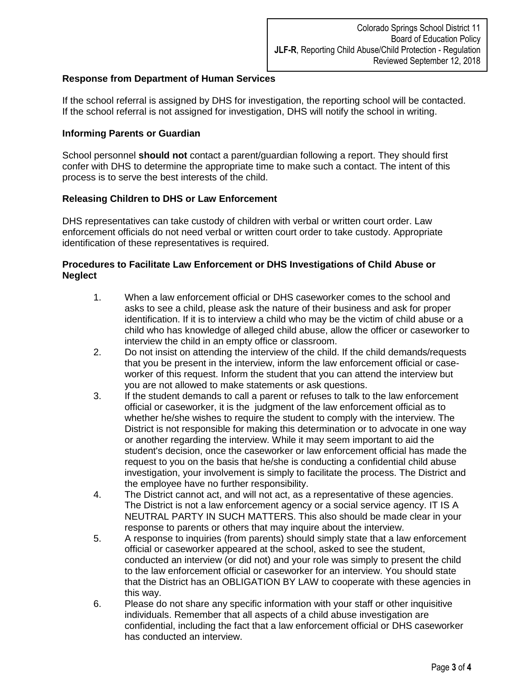# **Response from Department of Human Services**

If the school referral is assigned by DHS for investigation, the reporting school will be contacted. If the school referral is not assigned for investigation, DHS will notify the school in writing.

# **Informing Parents or Guardian**

School personnel **should not** contact a parent/guardian following a report. They should first confer with DHS to determine the appropriate time to make such a contact. The intent of this process is to serve the best interests of the child.

# **Releasing Children to DHS or Law Enforcement**

DHS representatives can take custody of children with verbal or written court order. Law enforcement officials do not need verbal or written court order to take custody. Appropriate identification of these representatives is required.

# **Procedures to Facilitate Law Enforcement or DHS Investigations of Child Abuse or Neglect**

- 1. When a law enforcement official or DHS caseworker comes to the school and asks to see a child, please ask the nature of their business and ask for proper identification. If it is to interview a child who may be the victim of child abuse or a child who has knowledge of alleged child abuse, allow the officer or caseworker to interview the child in an empty office or classroom.
- 2. Do not insist on attending the interview of the child. If the child demands/requests that you be present in the interview, inform the law enforcement official or caseworker of this request. Inform the student that you can attend the interview but you are not allowed to make statements or ask questions.
- 3. If the student demands to call a parent or refuses to talk to the law enforcement official or caseworker, it is the judgment of the law enforcement official as to whether he/she wishes to require the student to comply with the interview. The District is not responsible for making this determination or to advocate in one way or another regarding the interview. While it may seem important to aid the student's decision, once the caseworker or law enforcement official has made the request to you on the basis that he/she is conducting a confidential child abuse investigation, your involvement is simply to facilitate the process. The District and the employee have no further responsibility.
- 4. The District cannot act, and will not act, as a representative of these agencies. The District is not a law enforcement agency or a social service agency. IT IS A NEUTRAL PARTY IN SUCH MATTERS. This also should be made clear in your response to parents or others that may inquire about the interview.
- 5. A response to inquiries (from parents) should simply state that a law enforcement official or caseworker appeared at the school, asked to see the student, conducted an interview (or did not) and your role was simply to present the child to the law enforcement official or caseworker for an interview. You should state that the District has an OBLIGATION BY LAW to cooperate with these agencies in this way.
- 6. Please do not share any specific information with your staff or other inquisitive individuals. Remember that all aspects of a child abuse investigation are confidential, including the fact that a law enforcement official or DHS caseworker has conducted an interview.